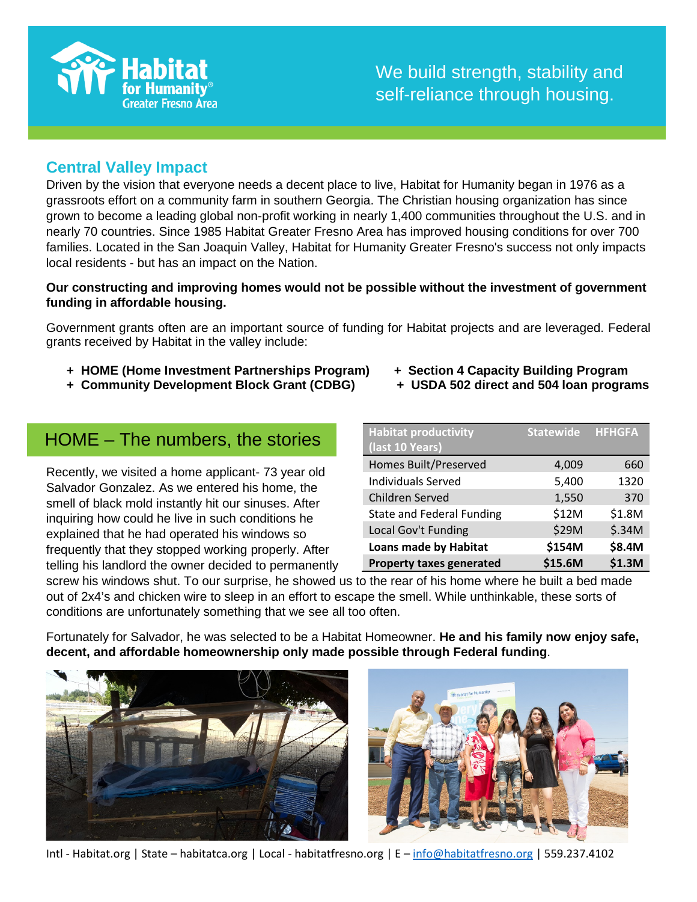

#### **Central Valley Impact**

Driven by the vision that everyone needs a decent place to live, Habitat for Humanity began in 1976 as a grassroots effort on a community farm in southern Georgia. The Christian housing organization has since grown to become a leading global non-profit working in nearly 1,400 communities throughout the U.S. and in nearly 70 countries. Since 1985 Habitat Greater Fresno Area has improved housing conditions for over 700 families. Located in the San Joaquin Valley, Habitat for Humanity Greater Fresno's success not only impacts local residents - but has an impact on the Nation.

#### **Our constructing and improving homes would not be possible without the investment of government funding in affordable housing.**

Government grants often are an important source of funding for Habitat projects and are leveraged. Federal grants received by Habitat in the valley include:

- **+ HOME (Home Investment Partnerships Program) + Section 4 Capacity Building Program**
- **+ Community Development Block Grant (CDBG)**

#### HOME – The numbers, the stories

Recently, we visited a home applicant- 73 year old Salvador Gonzalez. As we entered his home, the smell of black mold instantly hit our sinuses. After inquiring how could he live in such conditions he explained that he had operated his windows so frequently that they stopped working properly. After telling his landlord the owner decided to permanently

- 
- 

| <b>Habitat productivity</b>      | <b>Statewide HFHGFA</b> |        |
|----------------------------------|-------------------------|--------|
| (last 10 Years)                  |                         |        |
| <b>Homes Built/Preserved</b>     | 4,009                   | 660    |
| <b>Individuals Served</b>        | 5,400                   | 1320   |
| Children Served                  | 1,550                   | 370    |
| <b>State and Federal Funding</b> | \$12M                   | \$1.8M |
| Local Gov't Funding              | \$29M                   | \$.34M |
| <b>Loans made by Habitat</b>     | \$154M                  | \$8.4M |
| <b>Property taxes generated</b>  | \$15.6M                 | \$1.3M |

screw his windows shut. To our surprise, he showed us to the rear of his home where he built a bed made out of 2x4's and chicken wire to sleep in an effort to escape the smell. While unthinkable, these sorts of conditions are unfortunately something that we see all too often.

Fortunately for Salvador, he was selected to be a Habitat Homeowner. **He and his family now enjoy safe, decent, and affordable homeownership only made possible through Federal funding**.



Intl - Habitat.org | State – habitatca.org | Local - habitatfresno.org | E – [info@habitatfresno.org](mailto:info@habitatfresno.org) | 559.237.4102